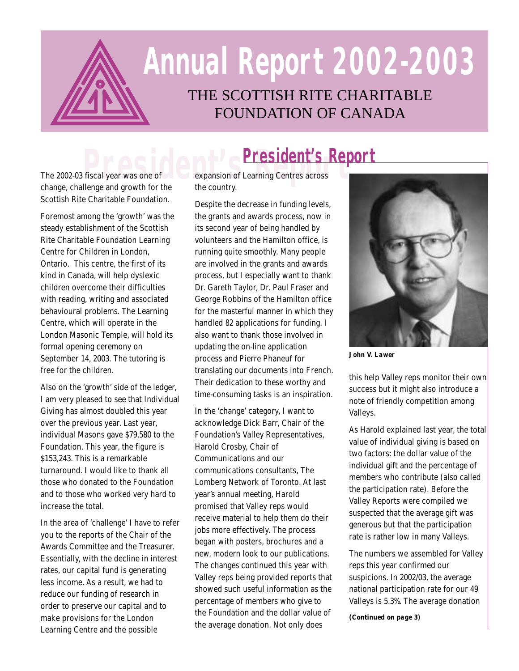

# THE SCOTTISH RITE CHARITABLE **Annual Report 2002-2003**

FOUNDATION OF CANADA

Scottish Rite Charitable Foundation.

Foremost among the 'growth' was the steady establishment of the Scottish Rite Charitable Foundation Learning Centre for Children in London, Ontario. This centre, the first of its kind in Canada, will help dyslexic children overcome their difficulties with reading, writing and associated behavioural problems. The Learning Centre, which will operate in the London Masonic Temple, will hold its formal opening ceremony on September 14, 2003. The tutoring is free for the children.

Also on the 'growth' side of the ledger, I am very pleased to see that Individual Giving has almost doubled this year over the previous year. Last year, individual Masons gave \$79,580 to the Foundation. This year, the figure is \$153,243. This is a remarkable turnaround. I would like to thank all those who donated to the Foundation and to those who worked very hard to increase the total.

In the area of 'challenge' I have to refer you to the reports of the Chair of the Awards Committee and the Treasurer. Essentially, with the decline in interest rates, our capital fund is generating less income. As a result, we had to reduce our funding of research in order to preserve our capital and to make provisions for the London Learning Centre and the possible

**President's Report**<br>The 2002-03 fiscal year was one of expansion of Learning Centres across<br>change, challenge and growth for the the country. expansion of Learning Centres across the country.

> Despite the decrease in funding levels, the grants and awards process, now in its second year of being handled by volunteers and the Hamilton office, is running quite smoothly. Many people are involved in the grants and awards process, but I especially want to thank Dr. Gareth Taylor, Dr. Paul Fraser and George Robbins of the Hamilton office for the masterful manner in which they handled 82 applications for funding. I also want to thank those involved in updating the on-line application process and Pierre Phaneuf for translating our documents into French. Their dedication to these worthy and time-consuming tasks is an inspiration.

In the 'change' category, I want to acknowledge Dick Barr, Chair of the Foundation's Valley Representatives, Harold Crosby, Chair of Communications and our communications consultants, The Lomberg Network of Toronto. At last year's annual meeting, Harold promised that Valley reps would receive material to help them do their jobs more effectively. The process began with posters, brochures and a new, modern look to our publications. The changes continued this year with Valley reps being provided reports that showed such useful information as the percentage of members who give to the Foundation and the dollar value of the average donation. Not only does



*John V. Lawer*

this help Valley reps monitor their own success but it might also introduce a note of friendly competition among Valleys.

As Harold explained last year, the total value of individual giving is based on two factors: the dollar value of the individual gift and the percentage of members who contribute (also called the participation rate). Before the Valley Reports were compiled we suspected that the average gift was generous but that the participation rate is rather low in many Valleys.

The numbers we assembled for Valley reps this year confirmed our suspicions. In 2002/03, the average national participation rate for our 49 Valleys is 5.3%. The average donation

*(Continued on page 3)*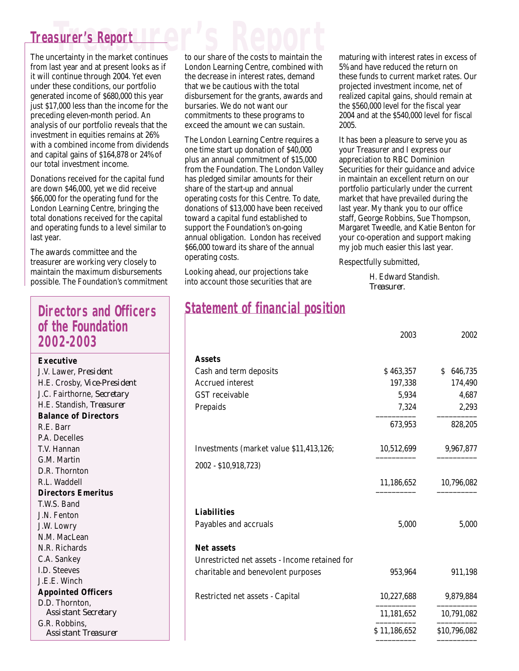### **Treasurer's Report Treasurer's Report**

The uncertainty in the market continues from last year and at present looks as if it will continue through 2004. Yet even under these conditions, our portfolio generated income of \$680,000 this year just \$17,000 less than the income for the preceding eleven-month period. An analysis of our portfolio reveals that the investment in equities remains at 26% with a combined income from dividends and capital gains of \$164,878 or 24% of our total investment income.

Donations received for the capital fund are down \$46,000, yet we did receive \$66,000 for the operating fund for the London Learning Centre, bringing the total donations received for the capital and operating funds to a level similar to last year.

The awards committee and the treasurer are working very closely to maintain the maximum disbursements possible. The Foundation's commitment

#### **Directors and Officers of the Foundation 2002-2003**

#### **Executive**

J.V. Lawer, *President* H.E. Crosby, *Vice-President* J.C. Fairthorne, *Secretary* H.E. Standish, *Treasurer* **Balance of Directors** R.E. Barr P.A. Decelles T.V. Hannan G.M. Martin D.R. Thornton R.L. Waddell **Directors Emeritus** T.W.S. Band J.N. Fenton J.W. Lowry N.M. MacLean N.R. Richards C.A. Sankey I.D. Steeves J.E.E. Winch **Appointed Officers** D.D. Thornton, *Assistant Secretary* G.R. Robbins, *Assistant Treasurer*

to our share of the costs to maintain the London Learning Centre, combined with the decrease in interest rates, demand that we be cautious with the total disbursement for the grants, awards and bursaries. We do not want our commitments to these programs to exceed the amount we can sustain.

The London Learning Centre requires a one time start up donation of \$40,000 plus an annual commitment of \$15,000 from the Foundation. The London Valley has pledged similar amounts for their share of the start-up and annual operating costs for this Centre. To date, donations of \$13,000 have been received toward a capital fund established to support the Foundation's on-going annual obligation. London has received \$66,000 toward its share of the annual operating costs.

Looking ahead, our projections take into account those securities that are

## **Statement of financial position**

maturing with interest rates in excess of 5% and have reduced the return on these funds to current market rates. Our projected investment income, net of realized capital gains, should remain at the \$560,000 level for the fiscal year 2004 and at the \$540,000 level for fiscal 2005.

It has been a pleasure to serve you as your Treasurer and I express our appreciation to RBC Dominion Securities for their guidance and advice in maintain an excellent return on our portfolio particularly under the current market that have prevailed during the last year. My thank you to our office staff, George Robbins, Sue Thompson, Margaret Tweedle, and Katie Benton for your co-operation and support making my job much easier this last year.

Respectfully submitted,

H. Edward Standish. *Treasurer.*

|                                               | 2003         | 2002          |
|-----------------------------------------------|--------------|---------------|
| <b>Assets</b>                                 |              |               |
| Cash and term deposits                        | \$463,357    | 646,735<br>S. |
| <b>Accrued interest</b>                       | 197,338      | 174,490       |
| <b>GST</b> receivable                         | 5,934        | 4,687         |
| Prepaids                                      | 7,324        | 2,293         |
|                                               | 673,953      | 828,205       |
| Investments (market value \$11,413,126;       | 10,512,699   | 9,967,877     |
| 2002 - \$10,918,723)                          |              |               |
|                                               | 11,186,652   | 10,796,082    |
| <b>Liabilities</b>                            |              |               |
| Payables and accruals                         | 5,000        | 5,000         |
| <b>Net assets</b>                             |              |               |
| Unrestricted net assets - Income retained for |              |               |
| charitable and benevolent purposes            | 953,964      | 911,198       |
| Restricted net assets - Capital               | 10,227,688   | 9,879,884     |
|                                               | 11,181,652   | 10,791,082    |
|                                               | \$11,186,652 | \$10,796,082  |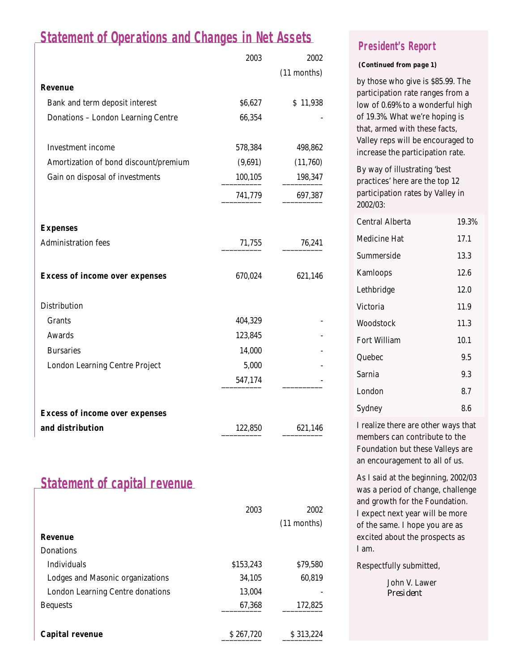# **Statement of Operations and Changes in Net Assets**

|                                           | 2003    | 2002        |
|-------------------------------------------|---------|-------------|
|                                           |         | (11 months) |
| <b>Revenue</b>                            |         |             |
| Bank and term deposit interest            | \$6,627 | \$11,938    |
| <b>Donations - London Learning Centre</b> | 66,354  |             |
| <b>Investment</b> income                  | 578,384 | 498,862     |
| Amortization of bond discount/premium     | (9,691) | (11,760)    |
| Gain on disposal of investments           | 100,105 | 198,347     |
|                                           | 741,779 | 697,387     |
| <b>Expenses</b>                           |         |             |
| <b>Administration fees</b>                | 71,755  | 76,241      |
| <b>Excess of income over expenses</b>     | 670,024 | 621,146     |
| <b>Distribution</b>                       |         |             |
| <b>Grants</b>                             | 404,329 |             |
| <b>Awards</b>                             | 123,845 |             |
| <b>Bursaries</b>                          | 14,000  |             |
| <b>London Learning Centre Project</b>     | 5,000   |             |
|                                           | 547,174 |             |
|                                           |         |             |
| <b>Excess of income over expenses</b>     |         |             |
| and distribution                          | 122,850 | 621,146     |

# **Statement of capital revenue**

|                                         | 2003      | 2002          |
|-----------------------------------------|-----------|---------------|
|                                         |           | $(11$ months) |
| <b>Revenue</b>                          |           |               |
| <b>Donations</b>                        |           |               |
| <b>Individuals</b>                      | \$153,243 | \$79,580      |
| Lodges and Masonic organizations        | 34.105    | 60,819        |
| <b>London Learning Centre donations</b> | 13,004    |               |
| <b>Bequests</b>                         | 67,368    | 172,825       |
|                                         |           |               |
| <b>Capital revenue</b>                  | \$267.720 | \$313.224     |

#### **President's Report**

#### *(Continued from page 1)*

by those who give is \$85.99. The participation rate ranges from a low of 0.69% to a wonderful high of 19.3%. What we're hoping is that, armed with these facts, Valley reps will be encouraged to increase the participation rate.

By way of illustrating 'best practices' here are the top 12 participation rates by Valley in 2002/03:

| Central Alberta | 19.3% |
|-----------------|-------|
| Medicine Hat    | 17.1  |
| Summerside      | 13.3  |
| Kamloops        | 12.6  |
| Lethbridge      | 12.0  |
| Victoria        | 11.9  |
| Woodstock       | 11.3  |
| Fort William    | 10.1  |
| Quebec          | 9.5   |
| Sarnia          | 9.3   |
| London          | 8.7   |
| Sydney          | 8.6   |

I realize there are other ways that members can contribute to the Foundation but these Valleys are an encouragement to all of us.

As I said at the beginning, 2002/03 was a period of change, challenge and growth for the Foundation. I expect next year will be more of the same. I hope you are as excited about the prospects as I am.

Respectfully submitted,

John V. Lawer *President*